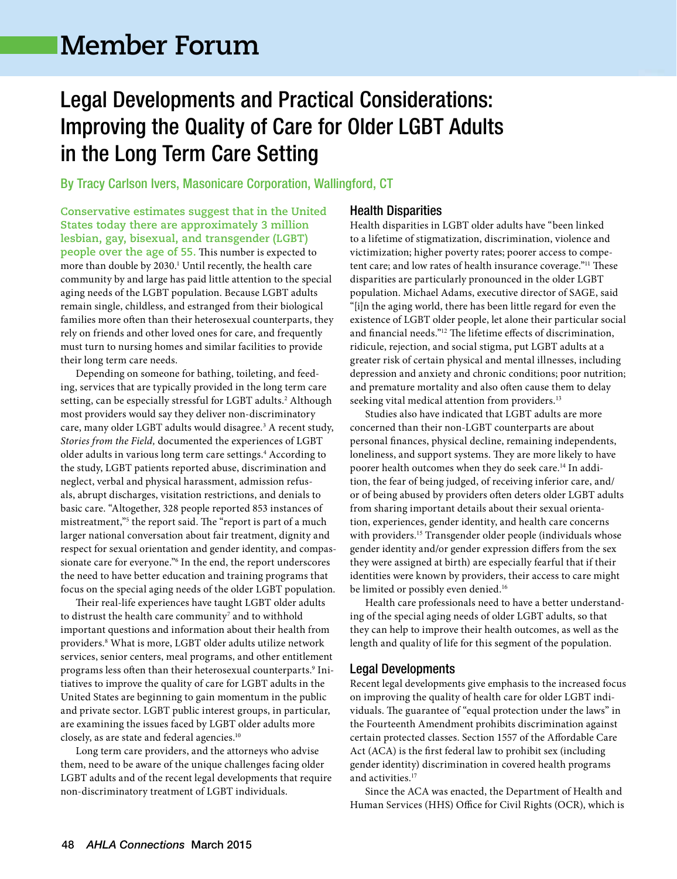# **Member Forum**

### Legal Developments and Practical Considerations: Improving the Quality of Care for Older LGBT Adults in the Long Term Care Setting

By Tracy Carlson Ivers, Masonicare Corporation, Wallingford, CT

**Conservative estimates suggest that in the United States today there are approximately 3 million lesbian, gay, bisexual, and transgender (LGBT) people over the age of 55.** This number is expected to more than double by 2030.<sup>1</sup> Until recently, the health care community by and large has paid little attention to the special aging needs of the LGBT population. Because LGBT adults remain single, childless, and estranged from their biological families more often than their heterosexual counterparts, they rely on friends and other loved ones for care, and frequently must turn to nursing homes and similar facilities to provide their long term care needs.

Depending on someone for bathing, toileting, and feeding, services that are typically provided in the long term care setting, can be especially stressful for LGBT adults.<sup>2</sup> Although most providers would say they deliver non-discriminatory care, many older LGBT adults would disagree.<sup>3</sup> A recent study, *Stories from the Field,* documented the experiences of LGBT older adults in various long term care settings.<sup>4</sup> According to the study, LGBT patients reported abuse, discrimination and neglect, verbal and physical harassment, admission refusals, abrupt discharges, visitation restrictions, and denials to basic care. "Altogether, 328 people reported 853 instances of mistreatment,"<sup>5</sup> the report said. The "report is part of a much larger national conversation about fair treatment, dignity and respect for sexual orientation and gender identity, and compassionate care for everyone."6 In the end, the report underscores the need to have better education and training programs that focus on the special aging needs of the older LGBT population.

Their real-life experiences have taught LGBT older adults to distrust the health care community<sup>7</sup> and to withhold important questions and information about their health from providers.8 What is more, LGBT older adults utilize network services, senior centers, meal programs, and other entitlement programs less often than their heterosexual counterparts.<sup>9</sup> Initiatives to improve the quality of care for LGBT adults in the United States are beginning to gain momentum in the public and private sector. LGBT public interest groups, in particular, are examining the issues faced by LGBT older adults more closely, as are state and federal agencies.10

Long term care providers, and the attorneys who advise them, need to be aware of the unique challenges facing older LGBT adults and of the recent legal developments that require non-discriminatory treatment of LGBT individuals.

### Health Disparities

Health disparities in LGBT older adults have "been linked to a lifetime of stigmatization, discrimination, violence and victimization; higher poverty rates; poorer access to competent care; and low rates of health insurance coverage."11 These disparities are particularly pronounced in the older LGBT population. Michael Adams, executive director of SAGE, said "[i]n the aging world, there has been little regard for even the existence of LGBT older people, let alone their particular social and financial needs."<sup>12</sup> The lifetime effects of discrimination, ridicule, rejection, and social stigma, put LGBT adults at a greater risk of certain physical and mental illnesses, including depression and anxiety and chronic conditions; poor nutrition; and premature mortality and also often cause them to delay seeking vital medical attention from providers.<sup>13</sup>

Studies also have indicated that LGBT adults are more concerned than their non-LGBT counterparts are about personal finances, physical decline, remaining independents, loneliness, and support systems. They are more likely to have poorer health outcomes when they do seek care.14 In addition, the fear of being judged, of receiving inferior care, and/ or of being abused by providers often deters older LGBT adults from sharing important details about their sexual orientation, experiences, gender identity, and health care concerns with providers.<sup>15</sup> Transgender older people (individuals whose gender identity and/or gender expression differs from the sex they were assigned at birth) are especially fearful that if their identities were known by providers, their access to care might be limited or possibly even denied.<sup>16</sup>

Health care professionals need to have a better understanding of the special aging needs of older LGBT adults, so that they can help to improve their health outcomes, as well as the length and quality of life for this segment of the population.

### Legal Developments

Recent legal developments give emphasis to the increased focus on improving the quality of health care for older LGBT individuals. The guarantee of "equal protection under the laws" in the Fourteenth Amendment prohibits discrimination against certain protected classes. Section 1557 of the Affordable Care Act (ACA) is the first federal law to prohibit sex (including gender identity) discrimination in covered health programs and activities.<sup>17</sup>

Since the ACA was enacted, the Department of Health and Human Services (HHS) Office for Civil Rights (OCR), which is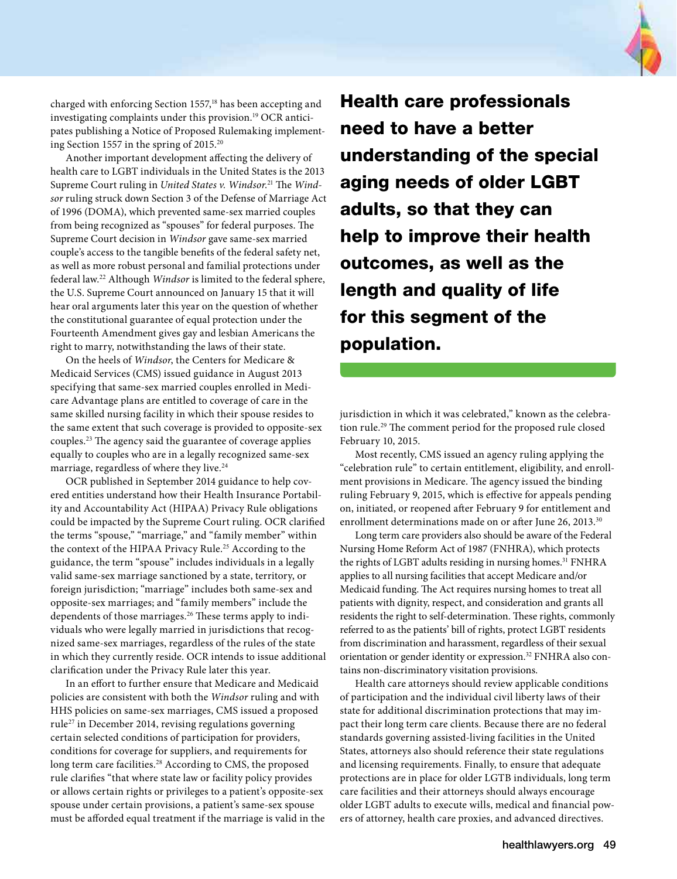charged with enforcing Section 1557,<sup>18</sup> has been accepting and investigating complaints under this provision.19 OCR anticipates publishing a Notice of Proposed Rulemaking implementing Section 1557 in the spring of 2015.<sup>20</sup>

Another important development affecting the delivery of health care to LGBT individuals in the United States is the 2013 Supreme Court ruling in *United States v. Windsor*. 21 The *Windsor* ruling struck down Section 3 of the Defense of Marriage Act of 1996 (DOMA), which prevented same-sex married couples from being recognized as "spouses" for federal purposes. The Supreme Court decision in *Windsor* gave same-sex married couple's access to the tangible benefits of the federal safety net, as well as more robust personal and familial protections under federal law.<sup>22</sup> Although *Windsor* is limited to the federal sphere, the U.S. Supreme Court announced on January 15 that it will hear oral arguments later this year on the question of whether the constitutional guarantee of equal protection under the Fourteenth Amendment gives gay and lesbian Americans the right to marry, notwithstanding the laws of their state.

On the heels of *Windsor*, the Centers for Medicare & Medicaid Services (CMS) issued guidance in August 2013 specifying that same-sex married couples enrolled in Medicare Advantage plans are entitled to coverage of care in the same skilled nursing facility in which their spouse resides to the same extent that such coverage is provided to opposite-sex couples.<sup>23</sup> The agency said the guarantee of coverage applies equally to couples who are in a legally recognized same-sex marriage, regardless of where they live.<sup>24</sup>

OCR published in September 2014 guidance to help covered entities understand how their Health Insurance Portability and Accountability Act (HIPAA) Privacy Rule obligations could be impacted by the Supreme Court ruling. OCR clarified the terms "spouse," "marriage," and "family member" within the context of the HIPAA Privacy Rule.<sup>25</sup> According to the guidance, the term "spouse" includes individuals in a legally valid same-sex marriage sanctioned by a state, territory, or foreign jurisdiction; "marriage" includes both same-sex and opposite-sex marriages; and "family members" include the dependents of those marriages.<sup>26</sup> These terms apply to individuals who were legally married in jurisdictions that recognized same-sex marriages, regardless of the rules of the state in which they currently reside. OCR intends to issue additional clarification under the Privacy Rule later this year.

In an effort to further ensure that Medicare and Medicaid policies are consistent with both the *Windsor* ruling and with HHS policies on same-sex marriages, CMS issued a proposed rule<sup>27</sup> in December 2014, revising regulations governing certain selected conditions of participation for providers, conditions for coverage for suppliers, and requirements for long term care facilities.<sup>28</sup> According to CMS, the proposed rule clarifies "that where state law or facility policy provides or allows certain rights or privileges to a patient's opposite-sex spouse under certain provisions, a patient's same-sex spouse must be afforded equal treatment if the marriage is valid in the

Health care professionals need to have a better understanding of the special aging needs of older LGBT adults, so that they can help to improve their health outcomes, as well as the length and quality of life for this segment of the population.

jurisdiction in which it was celebrated," known as the celebration rule.<sup>29</sup> The comment period for the proposed rule closed February 10, 2015.

Most recently, CMS issued an agency ruling applying the "celebration rule" to certain entitlement, eligibility, and enrollment provisions in Medicare. The agency issued the binding ruling February 9, 2015, which is effective for appeals pending on, initiated, or reopened after February 9 for entitlement and enrollment determinations made on or after June 26, 2013.<sup>30</sup>

Long term care providers also should be aware of the Federal Nursing Home Reform Act of 1987 (FNHRA), which protects the rights of LGBT adults residing in nursing homes.<sup>31</sup> FNHRA applies to all nursing facilities that accept Medicare and/or Medicaid funding. The Act requires nursing homes to treat all patients with dignity, respect, and consideration and grants all residents the right to self-determination. These rights, commonly referred to as the patients' bill of rights, protect LGBT residents from discrimination and harassment, regardless of their sexual orientation or gender identity or expression.32 FNHRA also contains non-discriminatory visitation provisions.

Health care attorneys should review applicable conditions of participation and the individual civil liberty laws of their state for additional discrimination protections that may impact their long term care clients. Because there are no federal standards governing assisted-living facilities in the United States, attorneys also should reference their state regulations and licensing requirements. Finally, to ensure that adequate protections are in place for older LGTB individuals, long term care facilities and their attorneys should always encourage older LGBT adults to execute wills, medical and financial powers of attorney, health care proxies, and advanced directives.